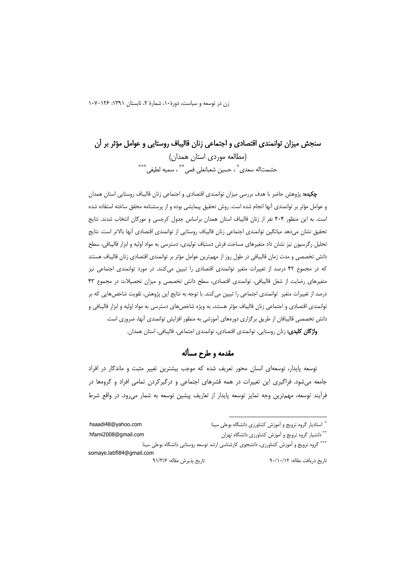زن در توسعه و سیاست، دورهٔ ۱۰، شمارهٔ ۲، تابستان ۱۳۹۱: ۱۰۶-۱۰۷

# سنجش میزان توانمندی اقتصادی و اجتماعی زنان قالیباف روستایی و عوامل مؤثر بر آن (مطالعه موردی استان همدان) حشمتاله سعدي ٌ ، حسين شعبانعلي فمي ٌ \* ، سميه لطيفي ، \*\*\*

**چکیده:** پژوهش حاضر با هدف بررسی میزان توانمندی اقتصادی و اجتماعی زنان قالیباف روستایی استان همدان و عوامل مؤثر بر توانمندی آنها انجام شده است. روش تحقیق پیمایشی بوده و از پرسشنامه محقق ساخته استفاده شده است. به این منظور ۴۰۴ نفر از زنان قالیباف استان همدان براساس جدول کرجسی و مورگان انتخاب شدند. نتایج تحقيق نشان مىدهد ميانگين توانمندى اجتماعي زنان قاليباف روستايي از توانمندى اقتصادى آنها بالاتر است. نتايج تحلیل رگرسیون نیز نشان داد متغیرهای مساحت فرش دستباف تولیدی، دسترسی به مواد اولیه و ابزار قالیبافی، سطح دانش تخصصی و مدت زمان قالیبافی در طول روز از مهمترین عوامل مؤثر بر توانمندی اقتصادی زنان قالیباف هستند که در مجموع ۴۲ درصد از تغییرات متغیر توانمندی اقتصادی را تبیین میکنند. در مورد توانمندی اجتماعی نیز متغیرهای رضایت از شغل قالیبافی، توانمندی اقتصادی، سطح دانش تخصصی و میزان تحصیلات در مجموع ۴۳ درصد از تغییرات متغیر ِ توانمندی اجتماعی را تبیین می کنند. با توجه به نتایج این پژوهش، تقویت شاخصهایی که بر توانمندی اقتصادی و اجتماعی زنان قالیباف مؤثر هستند، به ویژه شاخصهای دسترسی به مواد اولیه و ابزار قالیبافی و دانش تخصصی قالیبافان از طریق برگزاری دورههای آموزشی به منظور افزایش توانمندی آنها، ضروری است. واژگان کلیدی: زنان روستایی، توانمندی اقتصادی، توانمندی اجتماعی، قالیبافی، استان همدان.

# مقدمه و طرح مسأله

توسعه پایدار، توسعهای انسان محور تعریف شده که موجب بیشترین تغییر مثبت و ماندگار در افراد جامعه میشود. فراگیری این تغییرات در همه قشرهای اجتماعی و درگیرکردن تمامی افراد و گروهها در فرآیند توسعه، مهمترین وجه تمایز توسعه پایدار از تعاریف پیشین توسعه به شمار می ود. در واقع شرط

| hsaadi48@yahoo.com        | " استادیار گروه ترویج و آموزش کشاورزی دانشگاه بوعلی سینا                               |
|---------------------------|----------------------------------------------------------------------------------------|
| hfami2008@gmail.com       | ** دانشیار گروه ترویج و آموزش کشاورزی دانشگاه تهران                                    |
|                           | *** گروه ترویج و آموزش کشاورزی، دانشجوی کارشناسی ارشد توسعه روستایی دانشگاه بوعلی سینا |
| somaye.latifi84@qmail.com |                                                                                        |
| تاريخ پذيرش مقاله: ۹۱/۳/۶ | تاریخ دریافت مقاله: ۹۰/۱۰/۱۲                                                           |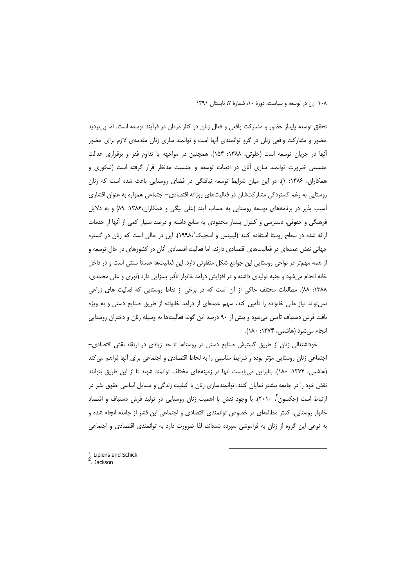تحقق توسعه پایدار حضور و مشارکت واقعی و فعال زنان در کنار مردان در فرآیند توسعه است. اما بی تردید حضور و مشارکت واقعی زنان در گرو توانمندی آنها است و توانمند سازی زنان مقدمهی لازم برای حضور آنها در جریان توسعه است (خلوتی، ۱۳۸۸: ۱۵۴). همچنین در مواجهه با تداوم فقر و برقراری عدالت جنسیتی ضرورت توانمند سازی آنان در ادبیات توسعه و جنسیت مدنظر قرار گرفته است (شکوری و همکاران، ۱۳۸۶: ۱). در این میان شرایط توسعه نیافتگی در فضای روستایی باعث شده است که زنان روستایی به رغم گستردگی مشارکتشان در فعالیتهای روزانه اقتصادی– اجتماعی همواره به عنوان اقشاری آسیب پذیر در برنامههای توسعه روستایی به حساب آیند (علی بیگی و همکاران،۱۳۸۶: ۸۹) و به دلایل فرهنگی و حقوقی، دسترسی و کنترل بسیار محدودی به منابع داشته و درصد بسیار کمی از آنها از خدمات ارائه شده در سطح روستا استفاده کنند (لیپینس و اسچیک ۱۹۹۸،). این در حالی است که زنان در گستره جهانی نقش عمدهای در فعالیتهای اقتصادی دارند، اما فعالیت اقتصادی آنان در کشورهای در حال توسعه و از همه مهمتر در نواحی روستایی این جوامع شکل متفاوتی دارد. این فعالیتها عمدتاً سنتی است و در داخل خانه انجام میشود و جنبه تولیدی داشته و در افزایش درآمد خانوار تأثیر بسزایی دارد (نوری و علی محمدی، ١٣٨٨: ٨٨). مطالعات مختلف حاكي از آن است كه در برخي از نقاط روستايي كه فعاليت هاي زراعي نمی تواند نیاز مالی خانواده را تأمین کند، سهم عمدهای از درآمد خانواده از طریق صنایع دستی و به ویژه بافت فرش دستباف تأمین میشود و بیش از ۹۰ درصد این گونه فعالیتها به وسیله زنان و دختران روستایی انجام میشود (هاشمی، ۱۳۷۴: ۱۸۰).

خوداشتغالی زنان از طریق گسترش صنایع دستی در روستاها تا حد زیادی در ارتقاء نقش اقتصادی– اجتماعی زنان روستایی مؤثر بوده و شرایط مناسبی را به لحاظ اقتصادی و اجتماعی برای آنها فراهم می کند (هاشمی، ۱۳۷۴: ۱۸۰). بنابراین میبایست آنها در زمینههای مختلف توانمند شوند تا از این طریق بتوانند نقش خود را در جامعه بیشتر نمایان کنند. توانمندسازی زنان با کیفیت زندگی و مسایل اساسی حقوق بشر در ارتباط است (جکسون '، ۲۰۱۰). با وجود نقش با اهمیت زنان روستایی در تولید فرش دستباف و اقتصاد خانوار روستایی، کمتر مطالعهای در خصوص توانمندی اقتصادی و اجتماعی این قشر از جامعه انجام شده و به نوعی این گروه از زنان به فراموشی سپرده شدهاند، لذا ضرورت دارد به توانمندی اقتصادی و اجتماعی

<sup>&</sup>lt;sup>1</sup>. Lipiens and Schick  $2 \nJacksquare$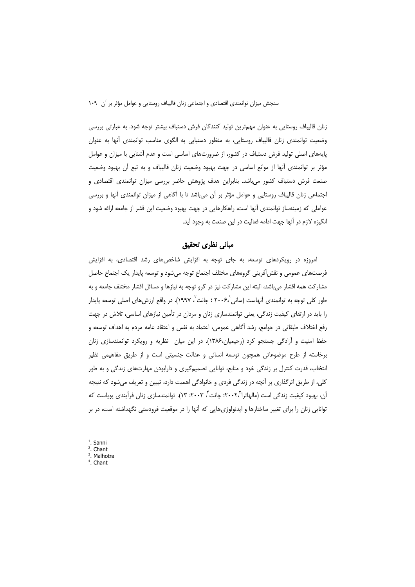زنان قالیباف روستایی به عنوان مهمترین تولید کنندگان فرش دستباف بیشتر توجه شود. به عبارتی بررسی وضعیت توانمندی زنان قالیباف روستایی، به منظور دستیابی به الگوی مناسب توانمندی آنها به عنوان پایههای اصلی تولید فرش دستباف در کشور، از ضرورتهای اساسی است و عدم آشنایی با میزان و عوامل مؤثر بر توانمندی أنها از موانع اساسی در جهت بهبود وضعیت زنان قالیباف و به تبع أن بهبود وضعیت صنعت فرش دستباف کشور می باشد. بنابراین هدف پژوهش حاضر بررسی میزان توانمندی اقتصادی و اجتماعی زنان قالیباف روستایی و عوامل مؤثر بر آن میباشد تا با آگاهی از میزان توانمندی آنها و بررسی عواملی که زمینهساز توانمندی آنها است، راهکارهایی در جهت بهبود وضعیت این قشر از جامعه ارائه شود و انگیزه لازم در آنها جهت ادامه فعالیت در این صنعت به وجود آید.

#### مبانی نظری تحقیق

امروزه در رویکردهای توسعه، به جای توجه به افزایش شاخصهای رشد اقتصادی، به افزایش فرصتهای عمومی و نقش آفرینی گروههای مختلف اجتماع توجه می شود و توسعه پایدار یک اجتماع حاصل مشارکت همه اقشار میباشد، البته این مشارکت نیز در گرو توجه به نیازها و مسائل اقشار مختلف جامعه و به طور کلی توجه به توانمندی آنهاست (سانی۲۰۰۶۰ ؛ چانت ً، ۱۹۹۷). در واقع ارزشهای اصلی توسعه پایدار را باید در ارتقای کیفیت زندگی، یعنی توانمندسازی زنان و مردان در تأمین نیازهای اساسی، تلاش در جهت رفع اختلاف طبقاتی در جوامع، رشد آگاهی عمومی، اعتماد به نفس و اعتقاد عامه مردم به اهداف توسعه و حفظ امنیت و آزادگی جستجو کرد (رحیمیان،۱۳۸۶). در این میان ِ نظریه و رویکرد توانمندسازی زنان برخاسته از طرح موضوعاتی همچون توسعه انسانی و عدالت جنسیتی است و از طریق مفاهیمی نظیر انتخاب، قدرت کنترل بر زندگی خود و منابع، توانایی تصمیمگیری و دارابودن مهارتهای زندگی و به طور کلی، از طریق اثرگذاری بر آنچه در زندگی فردی و خانوادگی اهمیت دارد، تبیین و تعریف میشود که نتیجه آن، بهبود کیفیت زندگی است (مالهاترا"۲۰۰۲: چانت"، ۲۰۰۳: ۱۳). توانمندسازی زنان فرآیندی پویاست که توانایی زنان را برای تغییر ساختارها و ایدئولوژیهایی که آنها را در موقعیت فرودستی نگهداشته است، در بر

 $<sup>1</sup>$ . Sanni</sup>  $2$ . Chant  $3.$  Malhotra  $4.$  Chant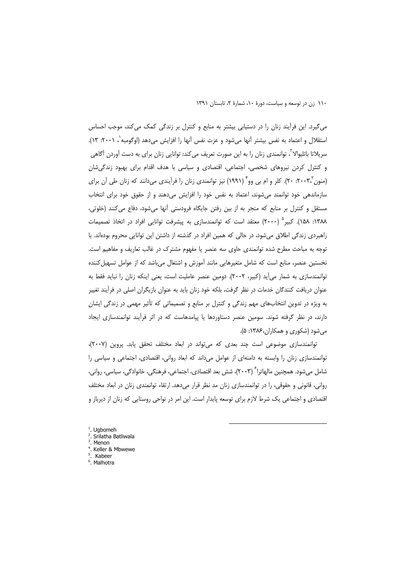١١٠ زن در توسعه و سياست، دورة ١٠، شمارة ٢، تابستان ١٣٩١

می گیرد. این فرآیند زنان را در دستیابی بیشتر به منابع و کنترل بر زندگی کمک می کند، موجب احساس استقلال و اعتماد به نفس بیشتر آنها میشود و عزت نفس آنها را افزایش میدهد (اوگومبه ٰ، ۲۰۰۱: ۱۳). سریلاتا باتلیوالا ٔ، توانمندی زنان را به این صورت تعریف می کند: توانایی زنان برای به دست آوردن آگاهی و کنترل کردن نیروهای شخصی، اجتماعی، اقتصادی و سیاسی با هدف اقدام برای بهبود زندگی شان (منون ۲۰۰۳٬ ۲۰). کلر و ام بی وو (۱۹۹۱) نیز توانمندی زنان را فرآیندی میدانند که زنان طی آن برای سازماندهی خود توانمند می شوند، اعتماد به نفس خود را افزایش میدهند و از حقوق خود برای انتخاب مستقل و کنترل بر منابع که منجر به از بین رفتن جایگاه فرودستی آنها میشود، دفاع میکنند (خلوتی، ۱۳۸۸: ۱۵۸). کبیر<sup>ه</sup> (۲۰۰۰) معتقد است که توانمندسازی به پیشرفت توانایی افراد در اتخاذ تصمیمات راهبردی زندگی اطلاق می شود، در حالی که همین افراد در گذشته از داشتن این توانایی محروم بودهاند. با توجه به مباحث مطرح شده توانمندی حاوی سه عنصر یا مفهوم مشترک در غالب تعاریف و مفاهیم است. نخستین عنصر، منابع است که شامل متغیرهایی مانند آموزش و اشتغال میباشد که از عوامل تسهیل کننده توانمندسازی به شمار می آید (کبیر، ۲۰۰۲). دومین عنصر عاملیت است، یعنی اینکه زنان را نباید فقط به عنوان دریافت کنندگان خدمات در نظر گرفت، بلکه خود زنان باید به عنوان بازیگران اصلی در فرآیند تغییر به ویژه در تدوین انتخابهای مهم زندگی و کنترل بر منابع و تصمیماتی که تأثیر مهمی در زندگی ایشان دارند، در نظر گرفته شوند. سومین عنصر دستاوردها یا پیامدهاست که در اثر فرآیند توانمندسازی ایجاد میشود (شکوری و همکاران،۱۳۸۶: ۵).

توانمندسازی موضوعی است چند بعدی که میتواند در ابعاد مختلف تحقق یابد. پروین (۲۰۰۷)، توانمندسازی زنان را وابسته به دامنهای از عوامل میداند که ابعاد روانی، اقتصادی، اجتماعی و سیاسی را شامل میشود. همچنین مالهاترا ۲۰۰۳)، شش بعد اقتصادی، اجتماعی، فرهنگی، خانوادگی، سیاسی، روانی، روانی، قانونی و حقوقی، را در توانمندسازی زنان مد نظر قرار میدهد. ارتقاء توانمندی زنان در ابعاد مختلف اقتصادی و اجتماعی یک شرط لازم برای توسعه پایدار است. این امر در نواحی روستایی که زنان از دیرباز و

<sup>1</sup>. Ugbomeh <sup>2</sup>. Srilatha Batliwala <sup>3</sup>. Menon <sup>4</sup>. Keller & Mbwewe Kabeer <sup>6</sup>. Malhotra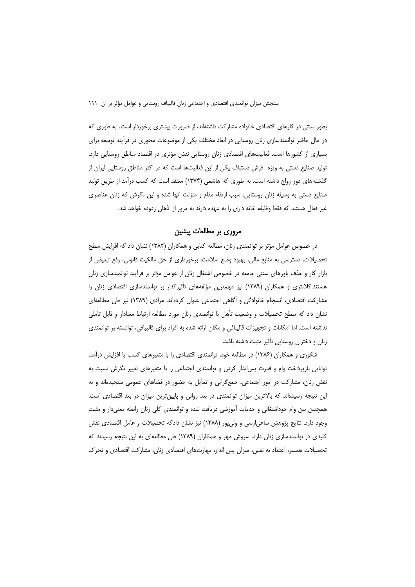بطور سنتی در کارهای اقتصادی خانواده مشارکت داشتهاند، از ضرورت بیشتری برخوردار است. به طوری که در حال حاضر توانمندسازی زنان روستایی در ابعاد مختلف یکی از موضوعات محوری در فرآیند توسعه برای بسیاری از کشورها است. فعالیتهای اقتصادی زنان روستایی نقش مؤثری در اقتصاد مناطق روستایی دارد. تولید صنایع دستی به ویژه فرش دستباف یکی از این فعالیتها است که در اکثر مناطق روستایی ایران از گذشتههای دور رواج داشته است. به طوری که هاشمی (۱۳۷۴) معتقد است که کسب درآمد از طریق تولید صنایع دستی به وسیله زنان روستایی، سبب ارتقاء مقام و منزلت آنها شده و این نگرش که زنان عناصری غیر فعال هستند که فقط وظیفه خانه داری را به عهده دارند به مرور از اذهان زدوده خواهد شد.

#### مروری بر مطالعات پیشین

در خصوص عوامل مؤثر بر توانمندی زنان، مطالعه کتابی و همکاران (۱۳۸۲) نشان داد که افزایش سطح تحصیلات، دسترسی به منابع مالی، بهبود وضع سلامت، برخورداری از حق مالکیت قانونی، رفع تبعیض از بازار کار و حذف باورهای سنتی جامعه در خصوص اشتغال زنان از عوامل مؤثر بر فرآیند توانمندسازی زنان هستند.کلانتری و همکاران (۱۳۸۹) نیز مهمترین مؤلفههای تأثیرگذار بر توانمندسازی اقتصادی زنان را مشاركت اقتصادي، انسجام خانوادگي و آگاهي اجتماعي عنوان كردهاند. مرادي (١٣٨٩) نيز طي مطالعهاي نشان داد که سطح تحصیلات و وضعیت تأهل با توانمندی زنان مورد مطالعه ارتباط معنادار و قابل تاملی نداشته است. اما امکانات و تجهیزات قالیبافی و مکان ارائه شده به افراد برای قالیبافی، توانسته بر توانمندی زنان و دختران روستایی تأثیر مثبت داشته باشد.

شکوری و همکاران (۱۳۸۶) در مطالعه خود، توانمندی اقتصادی را با متغیرهای کسب یا افزایش درآمد، توانایی بازپرداخت وام و قدرت پسانداز کردن و توانمندی اجتماعی را با متغیرهای تغییر نگرش نسبت به نقش زنان، مشارکت در امور اجتماعی، جمعگرایی و تمایل به حضور در فضاهای عمومی سنجیدهاند و به این نتیجه رسیدهاند که بالاترین میزان توانمندی در بعد روانی و پایینترین میزان در بعد اقتصادی است. همچنین بین وام خوداشتغالی و خدمات آموزشی دریافت شده و توانمندی کلی زنان رابطه معنیدار و مثبت وجود دارد. نتایج پژوهش ساعی(رسی و ولی پور (۱۳۸۸) نیز نشان دادکه تحصیلات و عامل اقتصادی نقش کلیدی در توانمندسازی زنان دارد. سروش مهر و همکاران (۱۳۸۹) طی مطالعهای به این نتیجه رسیدند که تحصیلات همسر، اعتماد به نفس، میزان پس انداز، مهارتهای اقتصادی زنان، مشارکت اقتصادی و تحرک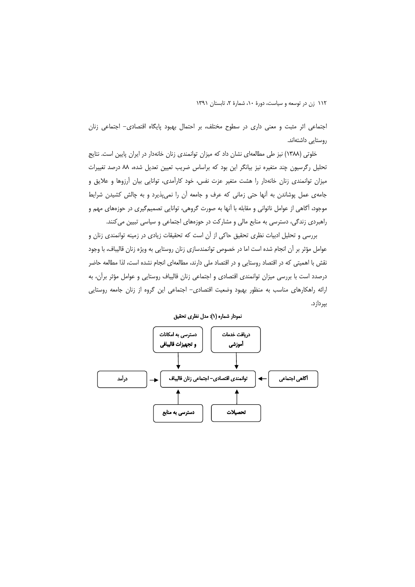اجتماعی اثر مثبت و معنی داری در سطوح مختلف، بر احتمال بهبود پایگاه اقتصادی– اجتماعی زنان روستایی داشتهاند.

خلوتی (۱۳۸۸) نیز طی مطالعهای نشان داد که میزان توانمندی زنان خانهدار در ایران پایین است. نتایج تحلیل رگرسیون چند متغیره نیز بیانگر این بود که براساس ضریب تعیین تعدیل شده، ۸۸ درصد تغییرات میزان توانمندی زنان خانهدار را هشت متغیر عزت نفس، خود کارآمدی، توانایی بیان آرزوها و علایق و جامه یعمل پوشاندن به آنها حتی زمانی که عرف و جامعه آن را نمی پذیرد و به چالش کشیدن شرایط موجود، أگاهي از عوامل ناتواني و مقابله با آنها به صورت گروهي، توانايي تصميمگيري در حوزههاي مهم و راهبردی زندگی، دسترسی به منابع مالی و مشارکت در حوزههای اجتماعی و سیاسی تبیین می کنند.

بررسی و تحلیل ادبیات نظری تحقیق حاکی از آن است که تحقیقات زیادی در زمینه توانمندی زنان و عوامل مؤثر بر آن انجام شده است اما در خصوص توانمندسازي زنان روستايي به ويژه زنان قاليباف، با وجود نقش با اهمیتی که در اقتصاد روستایی و در اقتصاد ملی دارند، مطالعهای انجام نشده است، لذا مطالعه حاضر درصدد است با بررسی میزان توانمندی اقتصادی و اجتماعی زنان قالیباف روستایی و عوامل مؤثر برآن، به ارائه راهکارهای مناسب به منظور بهبود وضعیت اقتصادی– اجتماعی این گروه از زنان جامعه روستایی بپردازد.

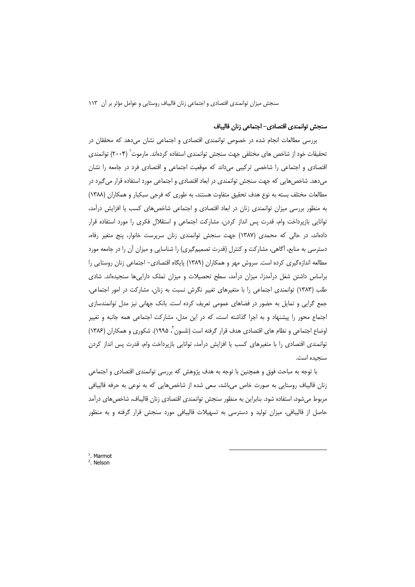#### سنجش توانمندي اقتصادي– اجتماعي زنان قاليباف

بررسی مطالعات انجام شده در خصوص توانمندی اقتصادی و اجتماعی نشان میدهد که محققان در تحقیقات خود از شاخص های مختلفی جهت سنجش توانمندی استفاده کردهاند. مارموت ۲۰۰۴) توانمندی اقتصادی و اجتماعی را شاخصی ترکیبی میداند که موقعیت اجتماعی و اقتصادی فرد در جامعه را نشان میدهد. شاخصهایی که جهت سنجش توانمندی در ابعاد اقتصادی و اجتماعی مورد استفاده قرار می گیرد در مطالعات مختلف بسته به نوع هدف تحقیق متفاوت هستند، به طوری که فرجی سبکبار و همکاران (۱۳۸۸) به منظور بررسی میزان توانمندی زنان در ابعاد اقتصادی و اجتماعی شاخصهای کسب یا افزایش درآمد، توانایی بازپرداخت وام، قدرت پس انداز کردن، مشارکت اجتماعی و استقلال فکری را مورد استفاده قرار دادهاند، در حالی که محمدی (۱۳۸۷) جهت سنجش توانمندی زنان سرپرست خانوار، پنج متغیر رفاه، دسترسی به منابع، آگاهی، مشارکت و کنترل (قدرت تصمیمگیری) را شناسایی و میزان آن را در جامعه مورد مطالعه اندازهگیری کرده است. سروش مهر و همکاران (۱۳۸۹) پایگاه اقتصادی– اجتماعی زنان روستایی را براساس داشتن شغل درآمدزا، میزان درآمد، سطح تحصیلات و میزان تملک داراییها سنجیدهاند. شادی طلب (۱۳۸۳) توانمندی اجتماعی را با متغیرهای تغییر نگرش نسبت به زنان، مشارکت در امور اجتماعی، جمع گرایی و تمایل به حضور در فضاهای عمومی تعریف کرده است. بانک جهانی نیز مدل توانمندسازی اجتماع محور را پیشنهاد و به اجرا گذاشته است، که در این مدل، مشارکت اجتماعی همه جانبه و تغییر اوضاع اجتماعی و نظام های اقتصادی هدف قرار گرفته است (نلسون '، ۱۹۹۵). شکوری و همکاران (۱۳۸۶) توانمندی اقتصادی را با متغیرهای کسب یا افزایش درآمد، توانایی بازپرداخت وام، قدرت پس انداز کردن سنجيده است.

با توجه به مباحث فوق و همچنین با توجه به هدف پژوهش که بررسی توانمندی اقتصادی و اجتماعی زنان قالیباف روستایی به صورت خاص میباشد، سعی شده از شاخصهایی که به نوعی به حرفه قالیبافی مربوط میشود، استفاده شود. بنابراین به منظور سنجش توانمندی اقتصادی زنان قالیباف، شاخصهای درآمد حاصل از قالیبافی، میزان تولید و دسترسی به تسهیلات قالیبافی مورد سنجش قرار گرفته و به منظور

 $<sup>1</sup>$ . Marmot</sup> <sup>2</sup>. Nelson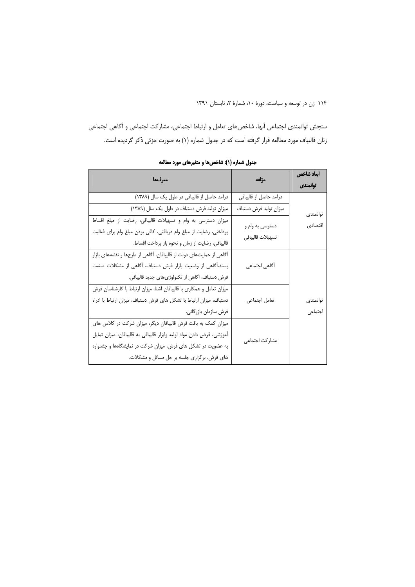سنجش توانمندي اجتماعي أنها، شاخصهاي تعامل و ارتباط اجتماعي، مشاركت اجتماعي و أگاهي اجتماعي زنان قالیباف مورد مطالعه قرار گرفته است که در جدول شماره (۱) به صورت جزئی ذکر گردیده است.

| معرفها                                                                | مؤلفه                  | ابعاد شاخص<br>توانمندى |
|-----------------------------------------------------------------------|------------------------|------------------------|
| درآمد حاصل از قالیبافی در طول یک سال (١٣٨٩)                           | درآمد حاصل از قاليبافي |                        |
| میزان تولید فرش دستباف در طول یک سال (١٣٨٩)                           | ميزان توليد فرش دستباف | توانمندى               |
| میزان دسترسی به وام و تسهیلات قالیبافی، رضایت از مبلغ اقساط           | دسترسی به وام و        | اقتصادي                |
| پرداختی، رضایت از مبلغ وام دریافتی، کافی بودن مبلغ وام برای فعالیت    | تسهيلات قاليبافي       |                        |
| قاليبافي، رضايت از زمان و نحوه باز پرداخت اقساط.                      |                        |                        |
| آگاهی از حمایتهای دولت از قالیبافان، آگاهی از طرحها و نقشههای بازار   |                        |                        |
| پسند،أگاهی از وضعیت بازار فرش دستباف، أگاهی از مشکلات صنعت            | آگاهی اجتماعی          |                        |
| فرش دستباف، آگاهی از تکنولوژیهای جدید قالیبافی.                       |                        |                        |
| میزان تعامل و همکاری با قالیبافان آشنا، میزان ارتباط با کارشناسان فرش |                        |                        |
| دستباف، میزان ارتباط با تشکل های فرش دستباف، میزان ارتباط با ادراه    | تعامل اجتماعي          | توانمندى               |
| فرش سازمان بازرگانی.                                                  |                        | اجتماعى                |
| میزان کمک به بافت فرش قالیبافان دیگر، میزان شرکت در کلاس های          |                        |                        |
| آموزشی، قرض دادن مواد اولیه وابزار قالیبافی به قالیبافان، میزان تمایل |                        |                        |
| به عضویت در تشکل های فرش، میزان شرکت در نمایشگاهها و جشنواره          | مشاركت اجتماعي         |                        |
| های فرش، برگزاری جلسه بر حل مسائل و مشکلات.                           |                        |                        |

جدول شماره (۱): شاخصها و متغیرهای مورد مطالعه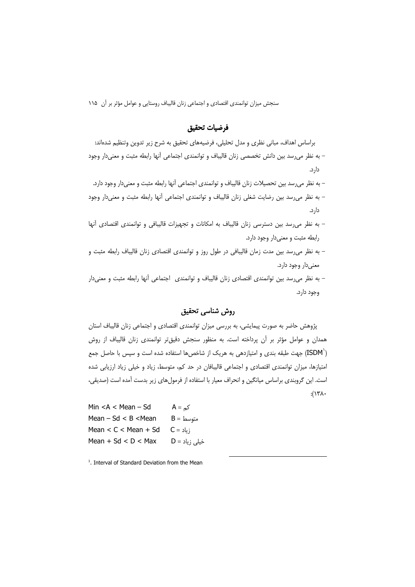## فرضيات تحقيق

براساس اهداف، مبانی نظری و مدل تحلیلی، فرضیههای تحقیق به شرح زیر تدوین وتنظیم شدهاند: – به نظر می رسد بین دانش تخصصی زنان قالیباف و توانمندی اجتماعی آنها رابطه مثبت و معنیدار وجود دار د.

– به نظر می رسد بین تحصیلات زنان قالیباف و توانمندی اجتماعی آنها رابطه مثبت و معنی دار وجود دارد. – به نظر می رسد بین رضایت شغلی زنان قالیباف و توانمندی اجتماعی آنها رابطه مثبت و معنی دار وجود دار د.

- به نظر می رسد بین دسترسی زنان قالیباف به امکانات و تجهیزات قالیبافی و توانمندی اقتصادی آنها رابطه مثبت و معنى دار وجود دارد.
- به نظر می رسد بین مدت زمان قالیبافی در طول روز و توانمندی اقتصادی زنان قالیباف رابطه مثبت و معنىدار وجود دارد.

– به نظر می رسد بین توانمندی اقتصادی زنان قالیباف و توانمندی اجتماعی آنها رابطه مثبت و معنیدار وجود دارد.

# روش شناسي تحقيق

پژوهش حاضر به صورت پیمایشی، به بررسی میزان توانمندی اقتصادی و اجتماعی زنان قالیباف استان همدان و عوامل مؤثر بر آن پرداخته است. به منظور سنجش دقیق تر توانمندی زنان قالیباف از روش ("ISDM) جهت طبقه بندی و امتیازدهی به هریک از شاخص۵ها استفاده شده است و سپس با حاصل جمع امتیازها، میزان توانمندی اقتصادی و اجتماعی قالیبافان در حد کم، متوسط، زیاد و خیلی زیاد ارزیابی شده است. این گروبندی براساس میانگین و انحراف معیار با استفاده از فرمولهای زیر بدست آمده است (صدیقی،  $.(\forall x \wedge \cdot$ 

Min  $<$  A  $<$  Mean  $-$  Sd  $A = \infty$ Mean  $-$  Sd  $<$  B  $<$  Mean  $B =$ متوسط Mean  $< C <$  Mean  $+$  Sd  $C = 5$ زياد Mean  $+$  Sd  $<$  D  $<$  Max  $D = 1$ خىلى زىاد

<sup>1</sup>. Interval of Standard Deviation from the Mean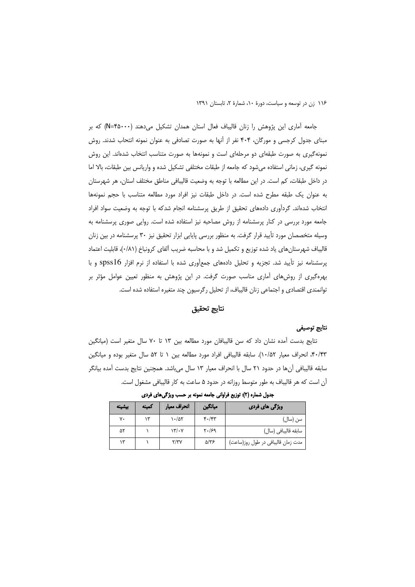جامعه آماری این پژوهش را زنان قالیباف فعال استان همدان تشکیل می دهند (N=۴۵۰۰۰) که بر مبنای جدول کرجسی و مورگان، ۴۰۴ نفر از آنها به صورت تصادفی به عنوان نمونه انتحاب شدند. روش نمونهگیری به صورت طبقهای دو مرحلهای است و نمونهها به صورت متناسب انتخاب شدهاند. این روش نمونه گیری، زمانی استفاده میشود که جامعه از طبقات مختلفی تشکیل شده و واریانس بین طبقات، بالا اما در داخل طبقات، کم است. در این مطالعه با توجه به وضعیت قالیبافی مناطق مختلف استان، هر شهرستان به عنوان یک طبقه مطرح شده است. در داخل طبقات نیز افراد مورد مطالعه متناسب با حجم نمونهها انتخاب شدهاند. گردآوری دادههای تحقیق از طریق پرسشنامه انجام شدکه با توجه به وضعیت سواد افراد جامعه مورد بررسی در کنار پرسشنامه از روش مصاحبه نیز استفاده شده است. روایی صوری پرسشنامه به وسیله متخصصان مورد تأیید قرار گرفت. به منظور بررسی پایایی ابزار تحقیق نیز ۳۰ پرسشنامه در بین زنان قالیباف شهرستانهای یاد شده توزیع و تکمیل شد و با محاسبه ضریب آلفای کرونباخ (۰/۸۱)، قابلیت اعتماد پرسشنامه نیز تأیید شد. تجزیه و تحلیل دادههای جمعآوری شده با استفاده از نرم افزار spss16 و با بهرهگیری از روشهای آماری مناسب صورت گرفت. در این پژوهش به منظور تعیین عوامل مؤثر بر توانمندی اقتصادی و اجتماعی زنان قالیباف، از تحلیل رگرسیون چند متغیره استفاده شده است.

#### نتايج تحقيق

#### نتايج توصيفى

نتايج بدست آمده نشان داد كه سن قاليبافان مورد مطالعه بين ١٣ تا ٧٠ سال متغير است (ميانگين ۴۰/۴۳، انحراف معیار ۱۰/۵۲). سابقه قالیبافی افراد مورد مطالعه بین ۱ تا ۵۲ سال متغیر بوده و میانگین سابقه قالیبافی آنها در حدود ۲۱ سال با انحراف معیار ۱۳ سال میباشد. همچنین نتایج بدست آمده بیانگر آن است که هر قالیباف به طور متوسط روزانه در حدود ۵ ساعت به کار قالیبافی مشغول است.

| بيشينه | كمينه | انحراف معيار             | ميانگين         | <b>ویژگی های فردی</b>              |
|--------|-------|--------------------------|-----------------|------------------------------------|
| ٧٠     | ۱۳    | $\cdot$ /۵۲              | $f \cdot / f f$ | سن (سال)                           |
| ۵۲     |       | $\frac{1}{\sqrt{2}}$     | Y.99            | سابقه قاليبافي (سال)               |
|        |       | $\mathsf{Y}/\mathsf{Y}'$ | ۵/۳۶            | مدت زمان قالیبافی در طول روز(ساعت) |

جدول شماره (٢): توزیع فراوانی جامعه نمونه بر حسب ویژگیهای فردی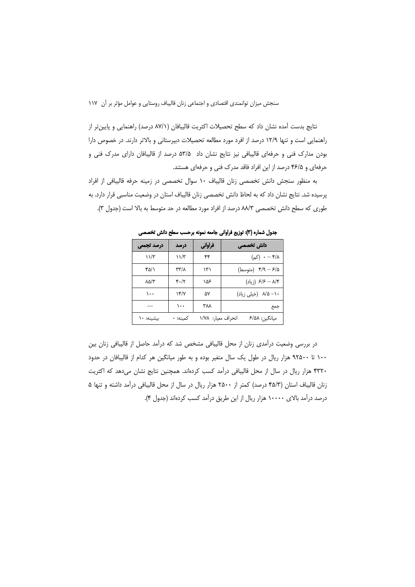نتايج بدست آمده نشان داد كه سطح تحصيلات اكثريت قاليبافان (٨٧/١ درصد) راهنمايي و پايين تر از راهنمایی است و تنها ۱۲/۹ درصد از افرد مورد مطالعه تحصیلات دبیرستانی و بالاتر دارند. در خصوص دارا بودن مدارک فنی و حرفهای قالیبافی نیز نتایج نشان داد ۵۳/۵ درصد از قالیبافان دارای مدرک فنی و حرفهای و ۴۶/۵ درصد از این افراد فاقد مدرک فنی و حرفهای هستند.

به منظور سنجش دانش تخصصی زنان قالیباف ١٠ سوال تخصصی در زمینه حرفه قالیبافی از افراد یرسیده شد. نتایج نشان داد که به لحاظ دانش تخصصی زنان قالیباف استان در وضعیت مناسبی قرار دارد. به طوری که سطح دانش تخصصی ۸۸/۳ درصد از افراد مورد مطالعه در حد متوسط به بالا است (جدول ۳).

| درصد تجمعي            | درصد     | فراواني            | دانش تخصصی          |
|-----------------------|----------|--------------------|---------------------|
| ۱۱/۳                  | ۱۱/۳     | ۴۴                 | $(\sim)$ ۰ – ۴/۸    |
| ۴۵/۱                  | ۳۳/۸     | ۱۳۱                | ۴/٩ - ۴/٩ (متوسط)   |
| $\lambda \Delta/\tau$ | 4.17     | ۱۵۶                | ۶/۶ — ۶/۶ (زیاد)    |
| ۱۰۰                   | $\gamma$ | ۵۷                 | ۸/۵ –۱۰ (خیلی زیاد) |
|                       | $\cdots$ | ۳۸۸                | جمع                 |
| بيشينه: ١٠            | كمىنە: • | انحراف معيار: ١/٧٨ | ميانگين: ۶/۵۸       |

جدول شماره (٣): توزيع فراواني جامعه نمونه برحسب سطح دانش تخصصي

در بررسی وضعیت درآمدی زنان از محل قالیبافی مشخص شد که درآمد حاصل از قالیبافی زنان بین ۱۰۰ تا ۹۲۵۰۰ هزار ریال در طول یک سال متغیر بوده و به طور میانگین هر کدام از قالیبافان در حدود ۴۳۲۰ هزار ریال در سال از محل قالیبافی درآمد کسب کردهاند. همچنین نتایج نشان میدهد که اکثریت زنان قالیباف استان (۴۵/۳ درصد) کمتر از ۲۵۰۰ هزار ریال در سال از محل قالیبافی درآمد داشته و تنها ۵ درصد درآمد بالای ۱۰۰۰۰ هزار ریال از این طریق درآمد کسب کردهاند (جدول ۴).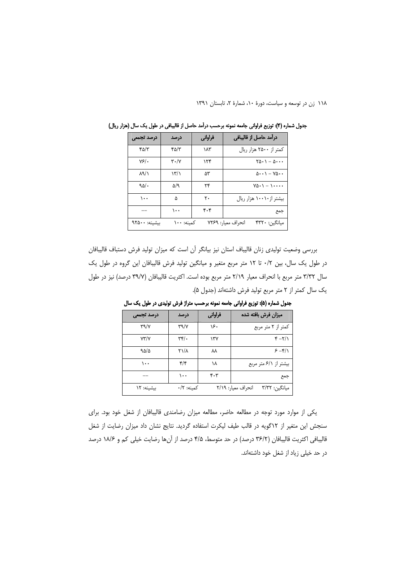| درصد تجمعي            | درصد                            | فراوانی | درآمد حاصل از قالیبافی                        |
|-----------------------|---------------------------------|---------|-----------------------------------------------|
| ۴۵/۳                  | ۴۵/۳                            | ۱۸۳     | کمتر از ۲۵۰۰ هزار ریال                        |
| Y5'.                  | $\mathbf{r} \cdot / \mathbf{v}$ | ۱۲۴     | $\Gamma\Delta\cdot 1-\Delta\cdot\cdot\cdot$   |
| $\lambda$ ۹/۱         | ۱۳/۱                            | ۵۳      | $\Delta \cdot \cdot \cdot$ - YQ $\cdot \cdot$ |
| 90/0                  | ۵/۹                             | ۲۴      | $V\Delta \cdot 1 - 1 \cdot \cdot \cdot \cdot$ |
| $\lambda \cdot \cdot$ | ۵                               | ٢٠      | بیشتر از ۱۰۰۱۰ هزار ریال                      |
|                       | ۱۰۰                             | ۴۰۴     | جمع                                           |
| بيشينه: ٩٢۵٠٠         | کمىنە: ۱۰۰                      |         | انحراف معيار: ٧٢۶٩<br>ميانگين: ۴۳۲۰           |

جدول شماره (۴): توزیع فراوانی جامعه نمونه برحسب درآمد حاصل از قالیبافی در طول یک سال (هزار ریال)

بررسی وضعیت تولیدی زنان قالیباف استان نیز بیانگر آن است که میزان تولید فرش دستباف قالیبافان در طول یک سال، بین ۰/۲ تا ۱۲ متر مربع متغیر و میانگین تولید فرش قالیبافان این گروه در طول یک سال ٣/٣٢ متر مربع با انحراف معيار ٢/١٩ متر مربع بوده است. اكثريت قاليبافان (٣٩/٧ درصد) نيز در طول يک سال كمتر از ٢ متر مربع توليد فرش داشتهاند (جدول ۵).

| درصد تجمعي           | درصد                      | فراواني | میزان فرش بافته شده                 |
|----------------------|---------------------------|---------|-------------------------------------|
| $Y^{\alpha}$         | $Y^{\alpha}$              | ۱۶۰     | کمتر از ۲ متر مربع                  |
| $Y^{\prime\prime}/Y$ | $\mathbf{r} \mathbf{r}$ . | ۱۳۷     | $Y - Y/1$                           |
| 9.0/0                | <b>٢١/٨</b>               | ᄊ       | $5 - f/1$                           |
| ۰۰۱                  | ۴/۴                       | ۱۸      | بیشتر از ۶/۱متر مربع                |
|                      | $\cdots$                  | 4.7     | جمع                                 |
| بيشينه: ١٢           | كمىنە: ۰/۲                |         | انحراف معيار: ٢/١٩<br>ميانگين: ٣/٣٢ |

جدول شماره (۵): توزیع فراوانی جامعه نمونه برحسب متراژ فرش تولیدی در طول یک سال

یکی از موارد مورد توجه در مطالعه حاضر، مطالعه میزان رضامندی قالیبافان از شغل خود بود. برای سنجش این متغیر از ١٢ گویه در قالب طیف لیکرت استفاده گردید. نتایج نشان داد میزان رضایت از شغل قاليبافي اكثريت قاليبافان (٣۶/٢ درصد) در حد متوسط، ۴/۵ درصد از آنها رضايت خيلي كم و ۱۸/۶ درصد در حد خیلی زیاد از شغل خود داشتهاند.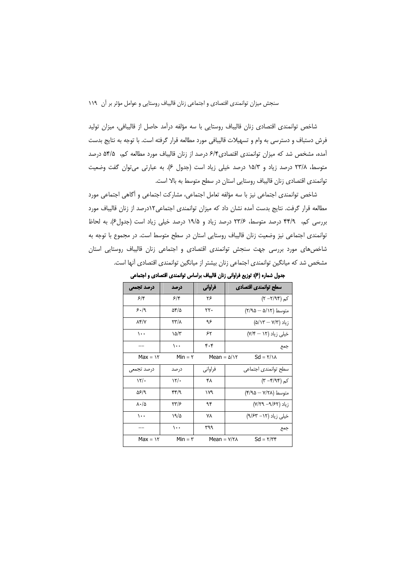شاخص توانمندی اقتصادی زنان قالیباف روستایی با سه مؤلفه درآمد حاصل از قالیبافی، میزان تولید فرش دستباف و دسترسی به وام و تسهیلات قالیبافی مورد مطالعه قرار گرفته است. با توجه به نتایج بدست آمده، مشخص شد که میزان توانمندی اقتصادی۶/۴ درصد از زنان قالیباف مورد مطالعه کم، ۵۴/۵ درصد متوسط، ٢٣/٨ درصد زياد و ١٥/٣ درصد خيلي زياد است (جدول ٤). به عبارتي مي توان گفت وضعيت توانمندی اقتصادی زنان قالیباف روستایی استان در سطح متوسط به بالا است.

شاخص توانمندی اجتماعی نیز با سه مؤلفه تعامل اجتماعی، مشارکت اجتماعی و آگاهی اجتماعی مورد مطالعه قرار گرفت. نتایج بدست آمده نشان داد که میزان توانمندی اجتماعی١٢درصد از زنان قالیباف مورد بررسی کم، ۴۴/۹ درصد متوسط، ۲۳/۶ درصد زیاد و ۱۹/۵ درصد خیلی زیاد است (جدول۶). به لحاظ توانمندی اجتماعی نیز وضعیت زنان قالیباف روستایی استان در سطح متوسط است. در مجموع با توجه به شاخصهای مورد بررسی جهت سنجش توانمندی اقتصادی و اجتماعی زنان قالیباف روستایی استان مشخص شد که میانگین توانمندی اجتماعی زنان بیشتر از میانگین توانمندی اقتصادی آنها است.

| درصد تجمعي               | در صد      | فراواني                  | سطح توانمندى اقتصادى             |
|--------------------------|------------|--------------------------|----------------------------------|
| $5/\mathcal{F}$          | ۶۴         | ۲۶                       | $(\Upsilon - \Upsilon / 9.5)$ کم |
| ۶۰/۹                     | ۵۴/۵       | ۲۲۰                      | متوسط (٥/١٢ه – ٢/٩۵)             |
| $\lambda$ ۴/V            | ۲۳/۸       | ۹۶                       | زیاد (۵/۱۳ — ۵/۱۳)               |
| ۰۰۱                      | ۱۵/۳       | ۶۲                       | خیلی زیاد (۱۲ – ۷/۴)             |
|                          | ۱۰۰        | ۴۰۴                      | جمع                              |
| $Max = \frac{1}{1}$      | $Min = r$  | $Mean = \Delta/\Upsilon$ | $Sd = \frac{1}{\lambda}$         |
| درصد تجمعى               | در صد      | فراوانی                  | سطح توانمندى اجتماعي             |
| $\frac{1}{\pi}$          | $\sqrt{7}$ | ۴۸                       | کم (۴/۹۴– ۳)                     |
| ۵۶/۹                     | ۴۴/۹       | ۱۷۹                      | متوسط (۲۸/۲۸ — ۴/۹۵)             |
| $\lambda \cdot / \Delta$ | ۳۳/۶       | ۹۴                       | زیاد (۷/۲۹– ۷/۲۹)                |
| ۰۰۱                      | ۱۹/۵       | ۷۸                       | خیلی زیاد (۱۲– ۹/۶۳)             |
|                          | ۱۰۰        | ۳۹۹                      | جمع                              |
| $Max = 11$               | $Min = r$  | $Mean = Y/Y$             | $Sd = \frac{1}{\pi}$             |

جدول شماره (۶): توزیع فراوانی زنان قالیباف براساس توانمندی اقتصادی و اجتماعی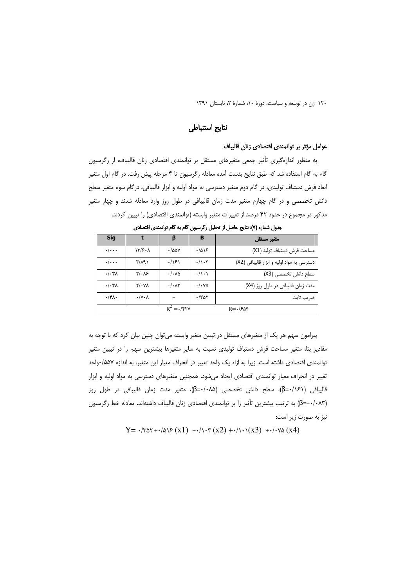١٢٠ زن در توسعه و سياست، دورة ١٠، شمارة ٢، تابستان ١٣٩١

## نتايج استنباطى

#### عوامل مؤثر بر توانمندى اقتصادى زنان قاليباف

به منظور اندازهگیری تأثیر جمعی متغیرهای مستقل بر توانمندی اقتصادی زنان قالیباف، از رگرسیون گام به گام استفاده شد که طبق نتایج بدست آمده معادله رگرسیون تا ۴ مرحله پیش رفت. در گام اول متغیر ابعاد فرش دستباف تولیدی، در گام دوم متغیر دسترسی به مواد اولیه و ابزار قالیبافی، درگام سوم متغیر سطح دانش تخصصی و در گام چهارم متغیر مدت زمان قالیبافی در طول روز وارد معادله شدند و چهار متغیر مذکور در مجموع در حدود ۴۲ درصد از تغییرات متغیر وابسته (توانمندی اقتصادی) را تبیین کردند.

| <b>Sig</b>               |                              | β                              | в                             | متغير مستقل                                |
|--------------------------|------------------------------|--------------------------------|-------------------------------|--------------------------------------------|
| $\cdot/\cdot\cdot$       | $\frac{17}{5}$ .             | ۰/۵۵۷                          | ۱۵۱۶                          | مساحت فرش دستباف توليد (X1)                |
| $\cdot/\cdot\cdot$       | $\mathsf{r}/\mathsf{A}$      | .791                           | $\cdot/\cdot$ ۳               | دسترسی به مواد اولیه و ابزار قالیبافی (X2) |
| $\cdot/\cdot \mathsf{r}$ | $Y/\cdot \Lambda$ ۶          | $\cdot/\cdot \lambda \Delta$   | $\cdot/\rangle \cdot \rangle$ | سطح دانش تخصصی (X3)                        |
| $\cdot/\cdot\tau$        | $Y/\cdot Y$                  | $\cdot/\cdot\Lambda\mathsf{r}$ | $\cdot/\cdot\mathrm{V}\Delta$ | مدت زمان قالیبافی در طول روز (X4)          |
| $\cdot$ /۴۸ $\cdot$      | $\cdot/\gamma \cdot \lambda$ |                                | $\cdot$ /۳۵۲                  | ضريب ثابت                                  |
|                          |                              | $R^2 = \cdot$ / $\gamma$       |                               | $R = -150$                                 |

جدول شماره (٧): نتايج حاصل از تحليل ركرسيون كام به كام توانمندى اقتصادى

پیرامون سهم هر یک از متغیرهای مستقل در تبیین متغیر وابسته میتوان چنین بیان کرد که با توجه به مقادیر بتا، متغیر مساحت فرش دستباف تولیدی نسبت به سایر متغیرها بیشترین سهم را در تبیین متغیر توانمندی اقتصادی داشته است. زیرا به ازاء یک واحد تغییر در انحراف معیار این متغیر، به اندازه ۵۵۷/•واحد تغییر در انحراف معیار توانمندی اقتصادی ایجاد میشود. همچنین متغیرهای دسترسی به مواد اولیه و ابزار قاليبافي (β=٠/۱۶۱)، سطح دانش تخصصي (β=۰/۰۸۵)، متغير مدت زمان قاليبافي در طول روز (β=-۰/۰۸۳) به ترتیب بیشترین تأثیر را بر توانمندی اقتصادی زنان قالیباف داشتهاند. معادله خط رگرسیون نیز به صورت زیر است:

 $Y = -(r\Delta r + \Delta r) \epsilon (x1) + \Delta r \epsilon (x2) + \Delta r \Delta (x3) + \Delta r \Delta (x4)$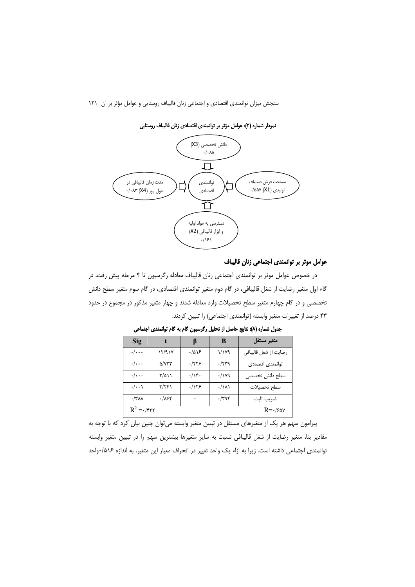

نمودار شماره (٢): عوامل مؤثر بر توانمندي اقتصادي زنان قاليباف روستايي

#### عوامل موثر بر توانمندی اجتماعی زنان قالیباف

در خصوص عوامل موثر بر توانمندی اجتماعی زنان قالیباف معادله رگرسیون تا ۴ مرحله پیش رفت. در گام اول متغیر رضایت از شغل قالیبافی، در گام دوم متغیر توانمندی اقتصادی، در گام سوم متغیر سطح دانش تخصصی و در گام چهارم متغیر سطح تحصیلات وارد معادله شدند و چهار متغیر مذکور در مجموع در حدود ۴۳ درصد از تغییرات متغیر وابسته (توانمندی اجتماعی) را تبیین کردند.

| <b>Sig</b>              |                         |       | B                      | متغير مستقل           |
|-------------------------|-------------------------|-------|------------------------|-----------------------|
| $\cdot/\cdot\cdot\cdot$ | 12/917                  | .7019 | ۱/۱۷۹                  | رضايت از شغل قاليبافي |
| $\cdot/\cdot\cdot\cdot$ | ۵/۷۳۳                   | ۰/۲۲۶ | $\cdot$ /۲۳۹           | توانمندى اقتصادى      |
| $\cdot/\cdot\cdot$      | ۳/۵۱۱                   | .414  | $\cdot/\gamma$         | سطح دانش تخصصى        |
| $\cdot/\cdot\cdot$      | $\mathbf{r}/\mathbf{r}$ | .1155 | $\cdot/\lambda\lambda$ | سطح تحصيلات           |
| $\cdot$ /٣٨٨            | ۰/۸۶۴                   |       | $\cdot$ /۳۹۴           | ضريب ثابت             |
| $R^2 = \frac{1}{\pi r}$ |                         |       |                        | $R = \frac{1}{2}$     |

جدول شماره (٨): نتايج حاصل از تحليل ركرسيون كام به كام توانمندى اجتماعى

پیرامون سهم هر یک از متغیرهای مستقل در تبیین متغیر وابسته می توان چنین بیان کرد که با توجه به مقادیر بتا، متغیر رضایت از شغل قالیبافی نسبت به سایر متغیرها بیشترین سهم را در تبیین متغیر وابسته توانمندی اجتماعی داشته است. زیرا به ازاء یک واحد تغییر در انحراف معیار این متغیر، به اندازه ۵۱۶/۰واحد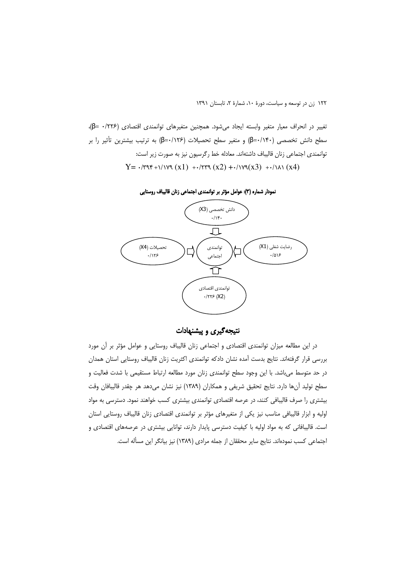١٢٢ زن در توسعه و سياست، دورة ١٠، شمارة ٢، تابستان ١٣٩١

تغيير در انحراف معيار متغير وابسته ايجاد مى شود. همچنين متغيرهاى توانمندى اقتصادى (١٢٢۶- ع))، سطح دانش تخصصی (β=۰/۱۴۰) و متغیر سطح تحصیلات (β=۰/۱۲۶) به ترتیب بیشترین تأثیر را بر توانمندی اجتماعی زنان قالیباف داشتهاند. معادله خط رگرسیون نیز به صورت زیر است:  $Y = -\frac{r}{3} + \frac{r}{3}$ 



نمودار شماره (٣): عوامل مؤثر بر توانمندی اجتماعی زنان قالیباف روستایی

نتیجهگیری و پیشنهادات

در این مطالعه میزان توانمندی اقتصادی و اجتماعی زنان قالیباف روستایی و عوامل مؤثر بر أن مورد بررسی قرار گرفتهاند. نتایج بدست آمده نشان دادکه توانمندی اکثریت زنان قالیباف روستایی استان همدان در حد متوسط می باشد. با این وجود سطح توانمندی زنان مورد مطالعه ارتباط مستقیمی با شدت فعالیت و سطح توليد آنها دارد. نتايج تحقيق شريفي و همكاران (١٣٨٩) نيز نشان مىدهد هر چقدر قاليبافان وقت بیشتری را صرف قالیبافی کنند، در عرصه اقتصادی توانمندی بیشتری کسب خواهند نمود. دسترسی به مواد اولیه و ابزار قالیبافی مناسب نیز یکی از متغیرهای مؤثر بر توانمندی اقتصادی زنان قالیباف روستایی استان است. قالیبافانی که به مواد اولیه با کیفیت دسترسی پایدار دارند، توانایی بیشتری در عرصههای اقتصادی و اجتماعی کسب نمودهاند. نتایج سایر محققان از جمله مرادی (۱۳۸۹) نیز بیانگر این مسأله است.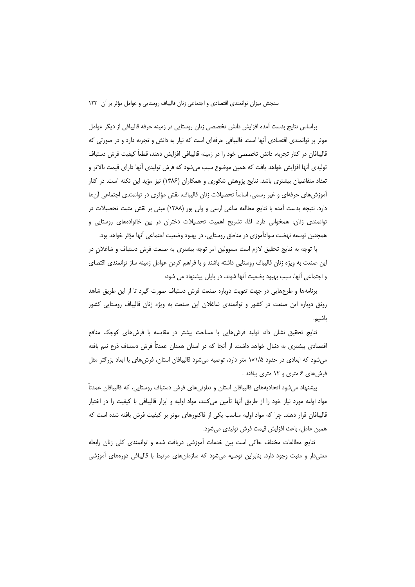براساس نتايج بدست آمده افزايش دانش تخصصي زنان روستايي در زمينه حرفه قاليبافي از ديگر عوامل موثر بر توانمندی اقتصادی آنها است. قالیبافی حرفهای است که نیاز به دانش و تجربه دارد و در صورتی که قالیبافان در کنار تجربه، دانش تخصصی خود را در زمینه قالیبافی افزایش دهند، قطعاً کیفیت فرش دستباف تولیدی آنها افزایش خواهد یافت که همین موضوع سبب میشود که فرش تولیدی آنها دارای قیمت بالاتر و تعداد متقاضیان بیشتری باشد. نتایج پژوهش شکوری و همکاران (۱۳۸۶) نیز مؤید این نکته است. در کنار آموزش های حرفهای و غیر رسمی، اساساً تحصیلات زنان قالیباف، نقش مؤثری در توانمندی اجتماعی آن ها دارد. نتیجه بدست آمده با نتایج مطالعه ساعی ارسی و ولی پور (۱۳۸۸) مبنی بر نقش مثبت تحصیلات در توانمندی زنان، همخوانی دارد. لذا، تشریح اهمیت تحصیلات دختران در بین خانوادههای روستایی و همچنین توسعه نهضت سوادآموزی در مناطق روستایی، در بهبود وضعیت اجتماعی آنها مؤثر خواهد بود.

با توجه به نتایج تحقیق لازم است مسوولین امر توجه بیشتری به صنعت فرش دستباف و شاغلان در این صنعت به ویژه زنان قالیباف روستایی داشته باشند و با فراهم کردن عوامل زمینه ساز توانمندی اقتصای و اجتماعی آنها، سبب بهبود وضعیت آنها شوند. در پایان پیشنهاد می شود:

برنامهها و طرحهایی در جهت تقویت دوباره صنعت فرش دستباف صورت گیرد تا از این طریق شاهد رونق دوباره این صنعت در کشور و توانمندی شاغلان این صنعت به ویژه زنان قالیباف روستایی کشور باشيم.

نتایج تحقیق نشان داد، تولید فرشهایی با مساحت بیشتر در مقایسه با فرشهای کوچک منافع اقتصادی بیشتری به دنبال خواهد داشت. از آنجا که در استان همدان عمدتاً فرش دستباف ذرع نیم بافته میشود که ابعادی در حدود ۱×۱×۱ متر دارد، توصیه میشود قالیبافان استان، فرشهای با ابعاد بزرگتر مثل فرشهای ۶ متری و ۱۲ متری ببافند .

پیشنهاد میشود اتحادیههای قالیبافان استان و تعاونیهای فرش دستباف روستایی، که قالیبافان عمدتاً مواد اولیه مورد نیاز خود را از طریق اَنها تأمین میکنند، مواد اولیه و ابزار قالیبافی با کیفیت را در اختیار قالیبافان قرار دهند. چرا که مواد اولیه مناسب یکی از فاکتورهای موثر بر کیفیت فرش بافته شده است که همين عامل، باعث افزايش قيمت فرش توليدى مىشود.

نتايج مطالعات مختلف حاكي است بين خدمات آموزشي دريافت شده و توانمندي كلي زنان رابطه معنیدار و مثبت وجود دارد. بنابراین توصیه میشود که سازمانهای مرتبط با قالیبافی دورههای آموزشی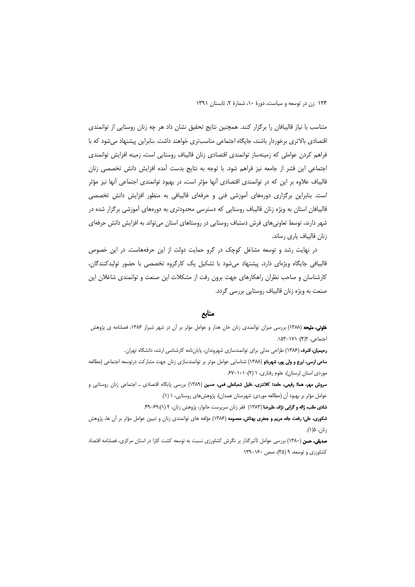متناسب با نیاز قالیبافان را برگزار کنند. همچنین نتایج تحقیق نشان داد هر چه زنان روستایی از توانمندی اقتصادی بالاتری برخوردار باشند، جایگاه اجتماعی مناسبتری خواهند داشت. بنابراین پیشنهاد میشود که با فراهم کردن عواملی که زمینهساز توانمندی اقتصادی زنان قالیباف روستایی است، زمینه افزایش توانمندی اجتماعی این قشر از جامعه نیز فراهم شود. با توجه به نتایج بدست آمده افزایش دانش تخصصی زنان قالیباف علاوه بر این که در توانمندی اقتصادی آنها مؤثر است، در بهبود توانمندی اجتماعی آنها نیز مؤثر است. بنابراین برگزاری دورههای آموزشی فنی و حرفهای قالیبافی به منظور افزایش دانش تخصصی قالیبافان استان به ویژه زنان قالیباف روستایی که دسترسی محدودتری به دورههای آموزشی برگزار شده در شهر دارند، توسط تعاونیهای فرش دستباف روستایی در روستاهای استان میتواند به افزایش دانش حرفهای زنان قالیباف یاری رساند.

در نهایت رشد و توسعه مشاغل کوچک در گرو حمایت دولت از این حرفههاست. در این خصوص قالیبافی جایگاه ویژهای دارد، ییشنهاد میشود با تشکیل یک کارگروه تخصصی با حضور تولیدکنندگان، کارشناسان و صاحب نظران راهکارهای جهت برون رفت از مشکلات این صنعت و توانمندی شاغلان این صنعت به ویژه زنان قالیباف روستایی بررسی گردد.

#### منابع

**خلوتی، ملیحه** (۱۳۸۸) بررسی میزان توانمندی زنان خان هدار و عوامل مؤثر بر آن در شهر شیراز ۱۳۸۶، فصلنامه ی پژوهش احتماعی، ۲(۴): ۱۵۳-۱۵۳.

**رحیمیان، اشرف** (۱۳۸۶) طراحی مدلی برای توانمندسازی شهروندان، پایاننامه کارشناسی ارشد، دانشگاه تهران.

**ساعی ارسی، ایرج و ولی پور، شهربانو** (۱۳۸۸) شناسایی عوامل موثر بر توانمندسازی زنان جهت مشارکت درتوسعه اجتماعی (مطالعه موردی استان لرستان)، علوم رفتاری، ١ (٢): ٠١-۶٧.

**سروش مهر، هما؛ رفیعی، حامد؛ کلانتری، خلیل شعبانعلی فعی، حسین** (۱۳۸۹) بررسی پایگاه اقتصادی <sub>–</sub> اجتماعی زنان روستایی و عوامل مؤثر بر بهبود آن (مطالعه موردي: شهرستان همدان)، پژوهشهاى روستايى، ١ (١).

شادى طلب، ژاله و گرايى نژاد، عليرضا (١٣٨٣) فقر زنان سرپرست خانوار، پژوهش زنان، ٢ (١):۶٩-۴٩.

**شکوری، علی؛ رفعت جاه، مریم و جعفری بهتاش، معصومه** (۱۳۸۶) مؤلفه های توانمندی زنان و تبیین عوامل مؤثر بر آن ها، پژوهش زنان، ۵(۱).

**صدیقی، حسن** (۱۳۸۰) بررسی عوامل تأثیرگذار بر نگرش کشاورزی نسبت به توسعه کشت کلزا در استان مرکزی، فصلنامه اقتصاد کشاورزی و توسعه، ۹ (۳۵)، صص ۱۶۰-۱۳۹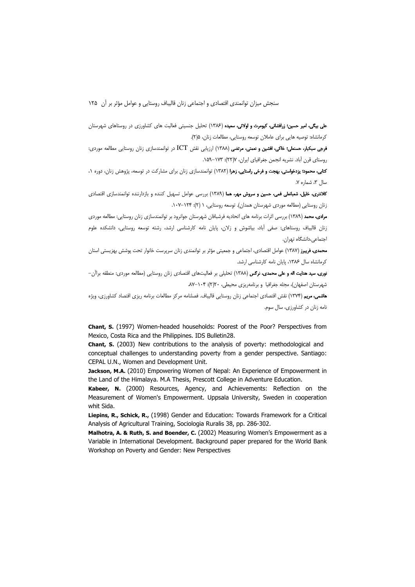علی بیگی، امیر حسین؛ زرافشانی، کیومرث و اولائی، سعیده (۱۳۸۶) تحلیل جنسیتی فعالیت های کشاورزی در روستاهای شهرستان کرمانشاه: توصیه هایی برای عاملان توسعه روستایی، مطالعات زنان، ۱۵(۲).

فرجی سبکبار، حسنعلی؛ خاکی، افشین و نعمتی، مرتضی (۱۳۸۸) ارزیابی نقش ICT در توانمندسازی زنان روستایی مطالعه موردی: روستای قرن آباد. نشریه انجمن جغرافیای ایران، ۷(۲۲): ۱۵۹–۱۵۹.

**کتابی، محمود؛ یزدخواستی، بهجت و فرخی راستایی، زهرا** (۱۳۸۲) توانمندسازی زنان برای مشارکت در توسعه، پژوهش زنان، دوره ۰، سال ٣، شماره ٧.

کلانتری، خلیل، شعبانعلی فمی، حسین و سروش مهر، هما (۱۳۸۹) بررسی عوامل تسهیل کننده و بازدارننده توانمندسازی اقتصادی زنان روستایی (مطالعه موردی شهرستان همدان). توسعه روستایی، ۱ (۲): ۱۰۷–۱۰۷.

مرادی، محمد (۱۳۸۹) بررسی اثرات برنامه های اتحادیه فرشبافان شهرستان جوانرود بر توانمندسازی زنان روستایی: مطالعه موردی زنان قالیباف روستاهای: صفی آباد، بیاشوش و زلان، پایان نامه کارشناسی ارشد، رشته توسعه روستایی، دانشکده علوم اجتماعي،دانشگاه تهران.

.<br>**محمدی، فریبرز (۱**۳۸۷) عوامل اقتصادی، اجتماعی و جمعیتی مؤثر بر توانمندی زنان سرپرست خانوار تحت پوشش بهزیستی استان کرمانشاه سال ۱۳۸۶، پایان نامه کارشناسی ارشد.

نوری، سید هدایت اله و علی محمدی، نرگس (۱۳۸۸) تحلیلی بر فعالیتهای اقتصادی زنان روستایی (مطالعه موردی: منطقه براآن-شهرستان اصفهان)، مجله جغرافیا و برنامهریزی محیطی، ۲۶(۲): ۸۲–۸۷

**هاشم ، مریم (۱**۳۷۴) نقش اقتصادی اجتماعی زنان روستایی قالیباف. فصلنامه مرکز مطالعات برنامه ریزی اقتصاد کشاورزی، ویژه نامه زنان در کشاورزی، سال سوم.

Chant, S. (1997) Women-headed households: Poorest of the Poor? Perspectives from Mexico, Costa Rica and the Philippines. IDS Bulletin28.

**Chant, S.** (2003) New contributions to the analysis of poverty: methodological and conceptual challenges to understanding poverty from a gender perspective. Santiago: CEPAL U.N., Women and Development Unit.

Jackson, M.A. (2010) Empowering Women of Nepal: An Experience of Empowerment in the Land of the Himalaya. M.A Thesis, Prescott College in Adventure Education.

Kabeer, N. (2000) Resources, Agency, and Achievements: Reflection on the Measurement of Women's Empowerment. Uppsala University, Sweden in cooperation whit Sida.

Liepins, R., Schick, R., (1998) Gender and Education: Towards Framework for a Critical Analysis of Agricultural Training, Sociologia Ruralis 38, pp. 286-302.

Malhotra, A. & Ruth, S. and Boender, C. (2002) Measuring Women's Empowerment as a Variable in International Development. Background paper prepared for the World Bank Workshop on Poverty and Gender: New Perspectives